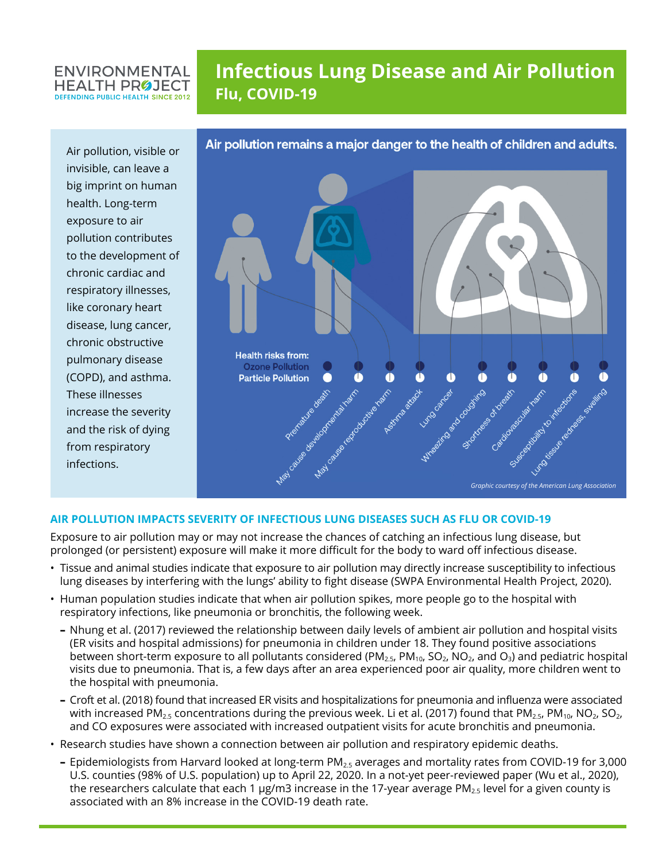### **ENVIRONMENTAL HEALTH PROJECT DEFENDING PUBLIC HEALTH SINCE 2012**

# **Infectious Lung Disease and Air Pollution Flu, COVID-19**

Air pollution, visible or invisible, can leave a big imprint on human health. Long-term exposure to air pollution contributes to the development of chronic cardiac and respiratory illnesses, like coronary heart disease, lung cancer, chronic obstructive pulmonary disease (COPD), and asthma. These illnesses increase the severity and the risk of dying from respiratory infections.



## **AIR POLLUTION IMPACTS SEVERITY OF INFECTIOUS LUNG DISEASES SUCH AS FLU OR COVID-19**

Exposure to air pollution may or may not increase the chances of catching an infectious lung disease, but prolonged (or persistent) exposure will make it more difficult for the body to ward off infectious disease.

- Tissue and animal studies indicate that exposure to air pollution may directly increase susceptibility to infectious lung diseases by interfering with the lungs' ability to fight disease (SWPA Environmental Health Project, 2020).
- Human population studies indicate that when air pollution spikes, more people go to the hospital with respiratory infections, like pneumonia or bronchitis, the following week.
	- **–** Nhung et al. (2017) reviewed the relationship between daily levels of ambient air pollution and hospital visits (ER visits and hospital admissions) for pneumonia in children under 18. They found positive associations between short-term exposure to all pollutants considered (PM<sub>2.5</sub>, PM<sub>10</sub>, SO<sub>2</sub>, NO<sub>2</sub>, and O<sub>3</sub>) and pediatric hospital visits due to pneumonia. That is, a few days after an area experienced poor air quality, more children went to the hospital with pneumonia.
	- **–** Croft et al. (2018) found that increased ER visits and hospitalizations for pneumonia and influenza were associated with increased PM<sub>2.5</sub> concentrations during the previous week. Li et al. (2017) found that PM<sub>2.5</sub>, PM<sub>10</sub>, NO<sub>2</sub>, SO<sub>2</sub>, and CO exposures were associated with increased outpatient visits for acute bronchitis and pneumonia.
- Research studies have shown a connection between air pollution and respiratory epidemic deaths.
	- **–** Epidemiologists from Harvard looked at long-term PM2.5 averages and mortality rates from COVID-19 for 3,000 U.S. counties (98% of U.S. population) up to April 22, 2020. In a not-yet peer-reviewed paper (Wu et al., 2020), the researchers calculate that each 1  $\mu$ g/m3 increase in the 17-year average PM<sub>2.5</sub> level for a given county is associated with an 8% increase in the COVID-19 death rate.